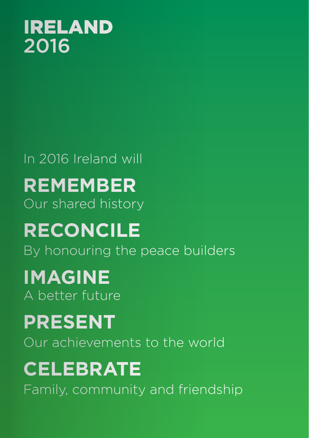

# In 2016 Ireland will **REMEMBER** Our shared history **RECONCILE** By honouring the peace builders **IMAGINE** A better future **PRESENT** Our achievements to the world **CELEBRATE**

Family, community and friendship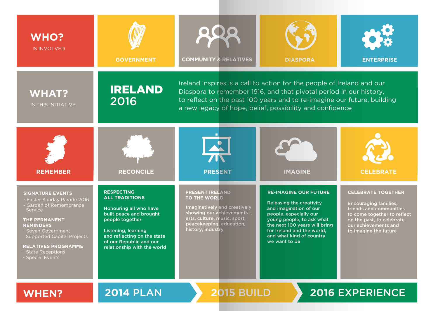| <b>WHO?</b><br><b>IS INVOLVED</b>                                                                                                                                                                                                                                                  | <b>GOVERNMENT</b>                                                                                                                                                                                                                         | <b>COMMUNITY &amp; RELATIVES</b>                                                                                                                                                                                                                                                    | <b>DIASPORA</b>                                                                                                                                                                                                                                              | <b>ENTERPRISE</b>                                                                                                                                                                                 |  |
|------------------------------------------------------------------------------------------------------------------------------------------------------------------------------------------------------------------------------------------------------------------------------------|-------------------------------------------------------------------------------------------------------------------------------------------------------------------------------------------------------------------------------------------|-------------------------------------------------------------------------------------------------------------------------------------------------------------------------------------------------------------------------------------------------------------------------------------|--------------------------------------------------------------------------------------------------------------------------------------------------------------------------------------------------------------------------------------------------------------|---------------------------------------------------------------------------------------------------------------------------------------------------------------------------------------------------|--|
| <b>WHAT?</b><br>IS THIS INITIATIVE                                                                                                                                                                                                                                                 | <b>IRELAND</b><br>2016                                                                                                                                                                                                                    | Ireland Inspires is a call to action for the people of Ireland and our<br>Diaspora to remember 1916, and that pivotal period in our history,<br>to reflect on the past 100 years and to re-imagine our future, building<br>a new legacy of hope, belief, possibility and confidence |                                                                                                                                                                                                                                                              |                                                                                                                                                                                                   |  |
| <b>REMEMBER</b>                                                                                                                                                                                                                                                                    | <b>RECONCILE</b>                                                                                                                                                                                                                          | <b>PRESENT</b>                                                                                                                                                                                                                                                                      | <b>IMAGINE</b>                                                                                                                                                                                                                                               | <b>CELEBRATE</b>                                                                                                                                                                                  |  |
| <b>SIGNATURE EVENTS</b><br>- Easter Sunday Parade 2016<br>- Garden of Remembrance<br><b>Service</b><br><b>THE PERMANENT</b><br><b>REMINDERS</b><br>- Seven Government<br><b>Supported Capital Projects</b><br><b>RELATIVES PROGRAMME</b><br>- State Receptions<br>- Special Events | <b>RESPECTING</b><br><b>ALL TRADITIONS</b><br>Honouring all who have<br>built peace and brought<br>people together<br><b>Listening, learning</b><br>and reflecting on the state<br>of our Republic and our<br>relationship with the world | <b>PRESENT IRELAND</b><br><b>TO THE WORLD</b><br>Imaginatively and creatively<br>showing our achievements -<br>arts, culture, music, sport,<br>peacekeeping, education,<br>history, industry                                                                                        | <b>RE-IMAGINE OUR FUTURE</b><br><b>Releasing the creativity</b><br>and imagination of our<br>people, especially our<br>young people, to ask what<br>the next 100 years will bring<br>for Ireland and the world,<br>and what kind of country<br>we want to be | <b>CELEBRATE TOGETHER</b><br><b>Encouraging families,</b><br>friends and communities<br>to come together to reflect<br>on the past, to celebrate<br>our achievements and<br>to imagine the future |  |
| <b>WHEN?</b>                                                                                                                                                                                                                                                                       | <b>2014 PLAN</b>                                                                                                                                                                                                                          | <b>2015 BUILD</b>                                                                                                                                                                                                                                                                   |                                                                                                                                                                                                                                                              | <b>2016 EXPERIENCE</b>                                                                                                                                                                            |  |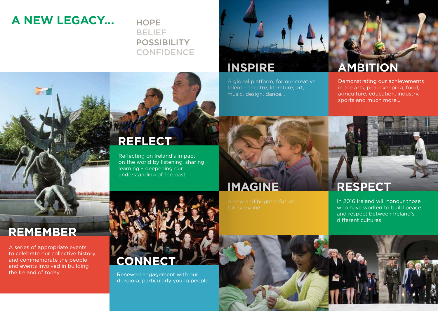## **A NEW LEGACY...** HOPE

## BELIEF POSSIBILITY **CONFIDENCE**

## **INSPIRE**

A global platform, for our creative talent – theatre, literature, art, music, design, dance…

## **AMBITION**

Demonstrating our achievements in the arts, peacekeeping, food, agriculture, education, industry, sports and much more…

## **REFLECT**

Reflecting on Ireland's impact on the world by listening, sharing, learning – deepening our understanding of the past

# **IMAGINE**

**RESPECT**

In 2016 Ireland will honour those who have worked to build peace and respect between Ireland's different cultures

## **REMEMBER**

A series of appropriate events to celebrate our collective history and commemorate the people and events involved in building the Ireland of today



Renewed engagement with our diaspora, particularly young people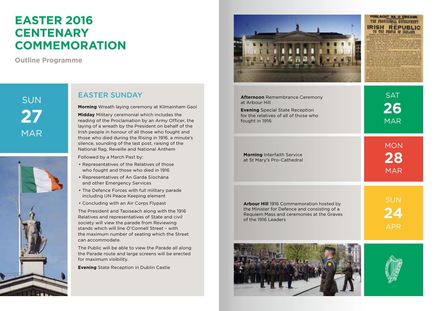## **EASTER 2016 CENTENARY COMMEMORATION**

**Outline Programme**

SUN **27** MAR



#### **EASTER SUNDAY** After A Remember 2012 After

**Morning** Wreath laying ceremony at Kilmainham Gaol

**Midday** Military ceremonial which includes the reading of the Proclamation by an Army Officer, the laying of a wreath by the President on behalf of the Irish people in honour of all those who fought and those who died during the Rising in 1916, a minute's silence, sounding of the last post, raising of the National flag, Reveille and National Anthem

Followed by a March Past by:

- Representatives of the Relatives of those who fought and those who died in 1916
- Representatives of An Garda Síochána and other Emergency Services
- The Defence Forces with full military parade including UN Peace Keeping element
- Concluding with an Air Corps Flypast

The President and Taoiseach along with the 1916 Relatives and representatives of State and civil society will view the parade from Reviewing stands which will line O'Connell Street – with the maximum number of seating which the Street can accommodate.

The Public will be able to view the Parade all along the Parade route and large screens will be erected for maximum visibility.

**Evening** State Reception in Dublin Castle



# POBLACHT NA H EIREAMN THE PROVISIONAL COVERNMENT **IRISH REPUBLIC**

| <b>Afternoon</b> Remembrance Ceremony<br>at Arbour Hill<br><b>Evening</b> Special State Reception<br>for the relatives of all of those who<br>fought in 1916 | <b>SAT</b><br>26<br><b>MAR</b> |
|--------------------------------------------------------------------------------------------------------------------------------------------------------------|--------------------------------|
| <b>Morning Interfaith Service</b><br>at St Mary's Pro-Cathedral                                                                                              | <b>MON</b><br>28<br><b>MAR</b> |
| Arbour Hill 1916 Commemoration hosted by<br>the Minister for Defence and consisting of a<br>Requiem Mass and ceremonies at the Graves<br>of the 1916 Leaders | <b>SUN</b><br>24               |



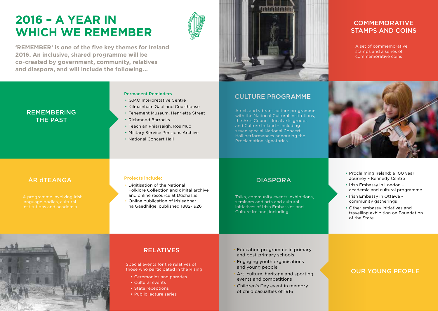## **2016 – A YEAR IN WHICH WE REMEMBER**



**'REMEMBER' is one of the five key themes for Ireland 2016. An inclusive, shared programme will be co-created by government, community, relatives and diaspora, and will include the following...**



#### CULTURE PROGRAMME

A rich and vibrant culture programme with the National Cultural Institutions, the Arts Council, local arts groups and Culture Ireland – including seven special National Concert Hall performances honouring the Proclamation signatories

#### **COMMEMORATIVE** STAMPS AND COINS

A set of commemorative stamps and a series of commemorative coins



#### REMEMBERING THE PAST

#### Permanent Reminders

- G.P.O Interpretative Centre
- Kilmainham Gaol and Courthouse
- Tenement Museum, Henrietta Street
- Richmond Barracks
- Teach an Phiarsaigh, Ros Muc
- Military Service Pensions Archive
- National Concert Hall

### **EXAMPLE ANGA** *Projects include:*<br> **•** Digitisation of the National **•** Digitisation of the National

institutions and academia

#### Projects include:

- Folklore Collection and digital archive and online resource at Dúchas.ie
- Online publication of Irisleabhar na Gaedhilge, published 1882-1926

#### DIASPORA

Talks, community events, exhibitions, seminars and arts and cultural initiatives of Irish Embassies and Culture Ireland, including…

- Proclaiming Ireland: a 100 year Journey – Kennedy Centre
- Irish Embassy in London academic and cultural programme
- Irish Embassy in Ottawa community gatherings
- Other embassy initiatives and travelling exhibition on Foundation of the State



#### RELATIVES

Special events for the relatives of those who participated in the Rising

- Ceremonies and parades
- Cultural events
- State receptions
- Public lecture series
- Education programme in primary and post-primary schools
- Engaging youth organisations and young people
- Art, culture, heritage and sporting events and competitions
- Children's Day event in memory of child casualties of 1916

#### OUR YOUNG PEOPLE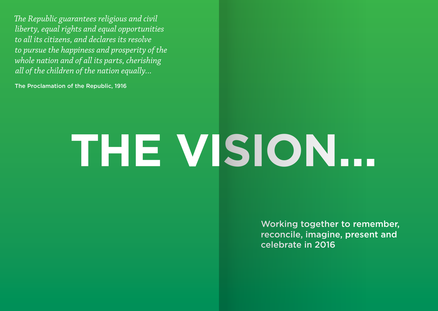*The Republic guarantees religious and civil liberty, equal rights and equal opportunities to all its citizens, and declares its resolve to pursue the happiness and prosperity of the whole nation and of all its parts, cherishing all of the children of the nation equally...*

The Proclamation of the Republic, 1916

# **THE VISION...**

Working together to remember, reconcile, imagine, present and celebrate in 2016